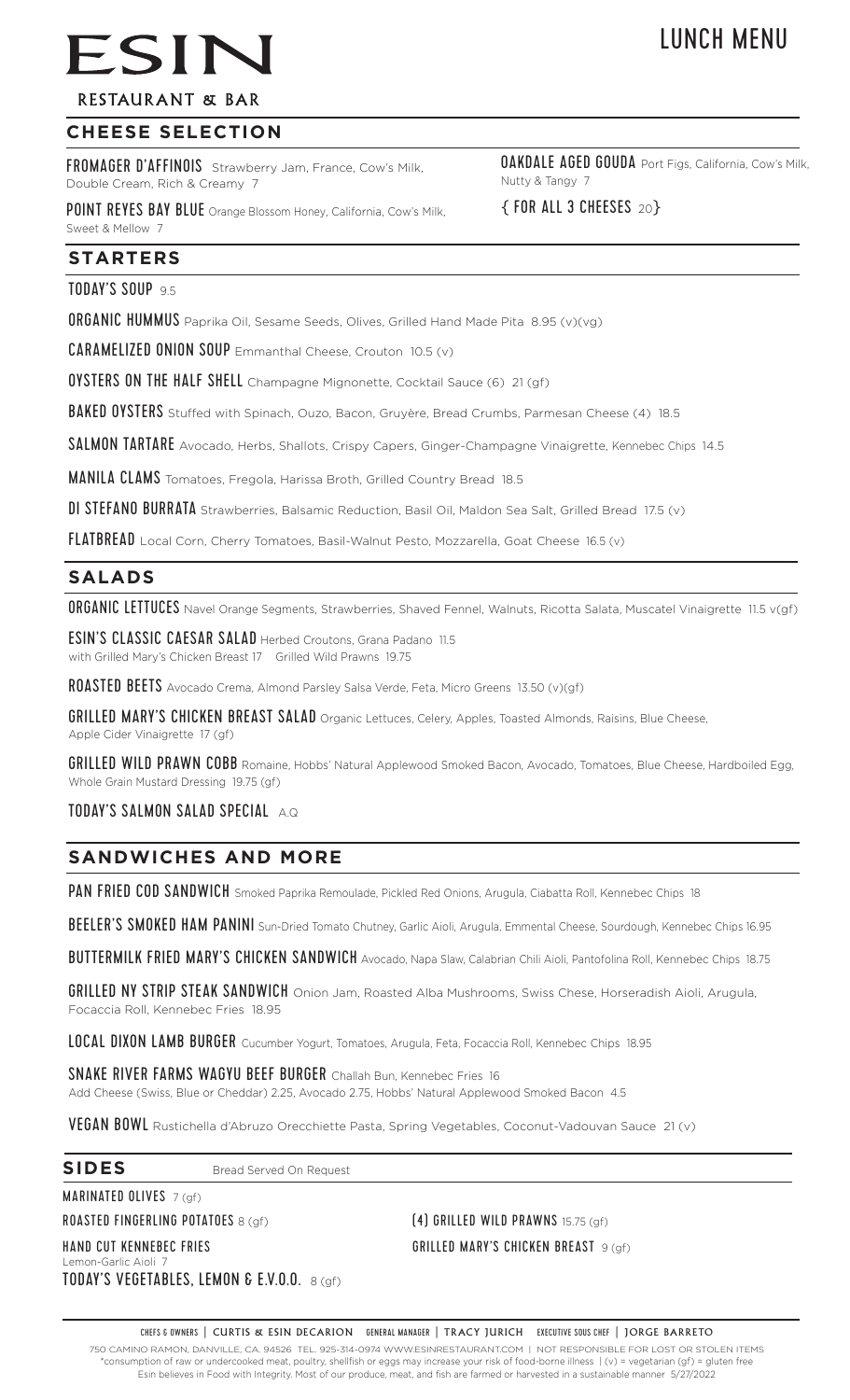# LUNCH MENU

# **RESTAURANT & BAR**

ESIN

# **CHEESE SELECTION**

FROMAGER D'AFFINOIS Strawberry Jam, France, Cow's Milk, Double Cream, Rich & Creamy 7

POINT REYES BAY BLUE Orange Blossom Honey, California, Cow's Milk, Sweet & Mellow 7

**OAKDALE AGED GOUDA** Port Figs, California, Cow's Milk, Nutty & Tangy 7

{ FOR ALL 3 CHEESES<sup>20</sup>}

# **STARTERS**

TODAY'S SOUP 9.5

**ORGANIC HUMMUS** Paprika Oil, Sesame Seeds, Olives, Grilled Hand Made Pita 8.95 (v)(vg)

CARAMELIZED ONION SOUP Emmanthal Cheese, Crouton 10.5 (v)

OYSTERS ON THE HALF SHELL Champagne Mignonette, Cocktail Sauce (6) 21 (gf)

BAKED OYSTERS Stuffed with Spinach, Ouzo, Bacon, Gruyère, Bread Crumbs, Parmesan Cheese (4) 18.5

SALMON TARTARE Avocado, Herbs, Shallots, Crispy Capers, Ginger-Champagne Vinaigrette, Kennebec Chips 14.5

MANILA CLAMS Tomatoes, Fregola, Harissa Broth, Grilled Country Bread 18.5

DI STEFANO BURRATA Strawberries, Balsamic Reduction, Basil Oil, Maldon Sea Salt, Grilled Bread 17.5 (v)

FLATBREAD Local Corn, Cherry Tomatoes, Basil-Walnut Pesto, Mozzarella, Goat Cheese 16.5 (v)

# **SALADS**

ORGANIC LETTUCES Navel Orange Segments, Strawberries, Shaved Fennel, Walnuts, Ricotta Salata, Muscatel Vinaigrette 11.5 v(gf)

ESIN'S CLASSIC CAESAR SALAD Herbed Croutons, Grana Padano 11.5 with Grilled Mary's Chicken Breast 17 Grilled Wild Prawns 19.75

ROASTED BEETS Avocado Crema, Almond Parsley Salsa Verde, Feta, Micro Greens 13.50 (v)(gf)

GRILLED MARY'S CHICKEN BREAST SALAD Organic Lettuces, Celery, Apples, Toasted Almonds, Raisins, Blue Cheese, Apple Cider Vinaigrette 17 (gf)

GRILLED WILD PRAWN COBB Romaine, Hobbs' Natural Applewood Smoked Bacon, Avocado, Tomatoes, Blue Cheese, Hardboiled Egg, Whole Grain Mustard Dressing 19.75 (gf)

#### TODAY'S SALMON SALAD SPECIAL A.Q

# **SANDWICHES AND MORE**

PAN FRIED COD SANDWICH Smoked Paprika Remoulade, Pickled Red Onions, Arugula, Ciabatta Roll, Kennebec Chips 18

BEELER'S SMOKED HAM PANINI Sun-Dried Tomato Chutney, Garlic Aioli, Arugula, Emmental Cheese, Sourdough, Kennebec Chips 16.95

BUTTERMILK FRIED MARY'S CHICKEN SANDWICH Avocado, Napa Slaw, Calabrian Chili Aioli, Pantofolina Roll, Kennebec Chips 18.75

GRILLED NY STRIP STEAK SANDWICH Onion Jam, Roasted Alba Mushrooms, Swiss Chese, Horseradish Aioli, Arugula, Focaccia Roll, Kennebec Fries 18.95

LOCAL DIXON LAMB BURGER Cucumber Yogurt, Tomatoes, Arugula, Feta, Focaccia Roll, Kennebec Chips 18.95

SNAKE RIVER FARMS WAGYU BEEF BURGER Challah Bun, Kennebec Fries 16

Add Cheese (Swiss, Blue or Cheddar) 2.25, Avocado 2.75, Hobbs' Natural Applewood Smoked Bacon 4.5

VEGAN BOWL Rustichella d'Abruzo Orecchiette Pasta, Spring Vegetables, Coconut-Vadouvan Sauce 21 (v)

#### **SIDES** Bread Served On Request

MARINATED OLIVES 7 (gf)

ROASTED FINGERLING POTATOES 8 (gf) (4) GRILLED WILD PRAWNS 15.75 (gf)

Lemon-Garlic Aioli 7 TODAY'S VEGETABLES, LEMON & E.V.O.O. 8 (qf)

HAND CUT KENNEBEC FRIES GRILLED MARY'S CHICKEN BREAST 9 (gf)

CHEFS & OWNERS | CURTIS & ESIN DECARION GENERAL MANAGER | TRACY JURICH EXECUTIVE SOUS CHEF | JORGE BARRETO 750 CAMINO RAMON, DANVILLE, CA. 94526 TEL. 925-314-0974 WWW.ESINRESTAURANT.COM | NOT RESPONSIBLE FOR LOST OR STOLEN ITEMS \*consumption of raw or undercooked meat, poultry, shellfish or eggs may increase your risk of food-borne illness | (v) = vegetarian (gf) = gluten free Esin believes in Food with Integrity. Most of our produce, meat, and fish are farmed or harvested in a sustainable manner 5/27/2022